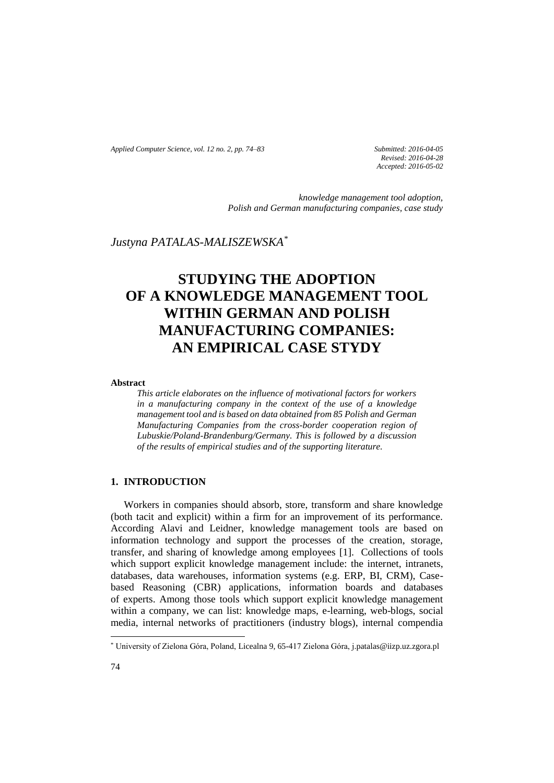*Applied Computer Science, vol. 12 no. 2, pp. 74–83 Submitted: 2016-04-05*

*Revised: 2016-04-28 Accepted: 2016-05-02*

*knowledge management tool adoption, Polish and German manufacturing companies, case study*

# *Justyna PATALAS-MALISZEWSKA\**

# **STUDYING THE ADOPTION OF A KNOWLEDGE MANAGEMENT TOOL WITHIN GERMAN AND POLISH MANUFACTURING COMPANIES: AN EMPIRICAL CASE STYDY**

## **Abstract**

*This article elaborates on the influence of motivational factors for workers in a manufacturing company in the context of the use of a knowledge management tool and is based on data obtained from 85 Polish and German Manufacturing Companies from the cross-border cooperation region of Lubuskie/Poland-Brandenburg/Germany. This is followed by a discussion of the results of empirical studies and of the supporting literature.* 

## **1. INTRODUCTION**

Workers in companies should absorb, store, transform and share knowledge (both tacit and explicit) within a firm for an improvement of its performance. According Alavi and Leidner, knowledge management tools are based on information technology and support the processes of the creation, storage, transfer, and sharing of knowledge among employees [1]. Collections of tools which support explicit knowledge management include: the internet, intranets, databases, data warehouses, information systems (e.g. ERP, BI, CRM), Casebased Reasoning (CBR) applications, information boards and databases of experts. Among those tools which support explicit knowledge management within a company, we can list: knowledge maps, e-learning, web-blogs, social media, internal networks of practitioners (industry blogs), internal compendia

l

<sup>\*</sup> University of Zielona Góra, Poland, Licealna 9, 65-417 Zielona Góra, j.patalas@iizp.uz.zgora.pl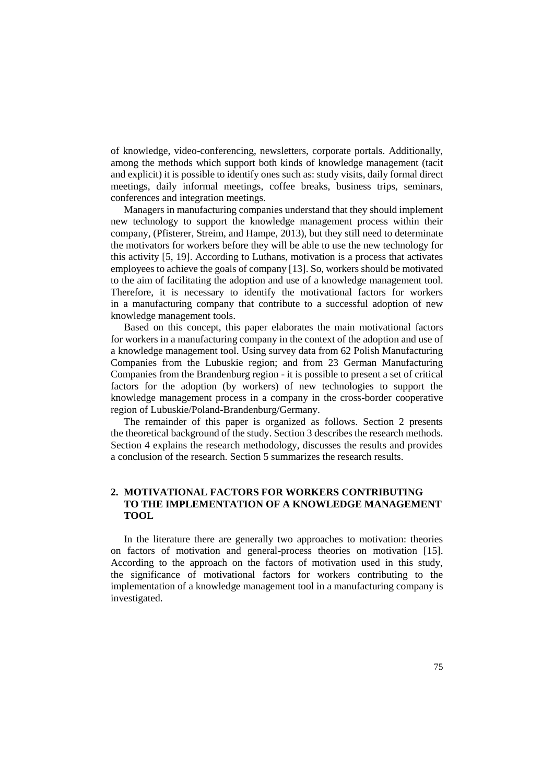of knowledge, video-conferencing, newsletters, corporate portals. Additionally, among the methods which support both kinds of knowledge management (tacit and explicit) it is possible to identify ones such as: study visits, daily formal direct meetings, daily informal meetings, coffee breaks, business trips, seminars, conferences and integration meetings.

Managers in manufacturing companies understand that they should implement new technology to support the knowledge management process within their company, (Pfisterer, Streim, and Hampe, 2013), but they still need to determinate the motivators for workers before they will be able to use the new technology for this activity [5, 19]. According to Luthans, motivation is a process that activates employees to achieve the goals of company [13]. So, workers should be motivated to the aim of facilitating the adoption and use of a knowledge management tool. Therefore, it is necessary to identify the motivational factors for workers in a manufacturing company that contribute to a successful adoption of new knowledge management tools.

Based on this concept, this paper elaborates the main motivational factors for workers in a manufacturing company in the context of the adoption and use of a knowledge management tool. Using survey data from 62 Polish Manufacturing Companies from the Lubuskie region; and from 23 German Manufacturing Companies from the Brandenburg region - it is possible to present a set of critical factors for the adoption (by workers) of new technologies to support the knowledge management process in a company in the cross-border cooperative region of Lubuskie/Poland-Brandenburg/Germany.

The remainder of this paper is organized as follows. Section 2 presents the theoretical background of the study. Section 3 describes the research methods. Section 4 explains the research methodology, discusses the results and provides a conclusion of the research. Section 5 summarizes the research results.

# **2. MOTIVATIONAL FACTORS FOR WORKERS CONTRIBUTING TO THE IMPLEMENTATION OF A KNOWLEDGE MANAGEMENT TOOL**

In the literature there are generally two approaches to motivation: theories on factors of motivation and general-process theories on motivation [15]. According to the approach on the factors of motivation used in this study, the significance of motivational factors for workers contributing to the implementation of a knowledge management tool in a manufacturing company is investigated.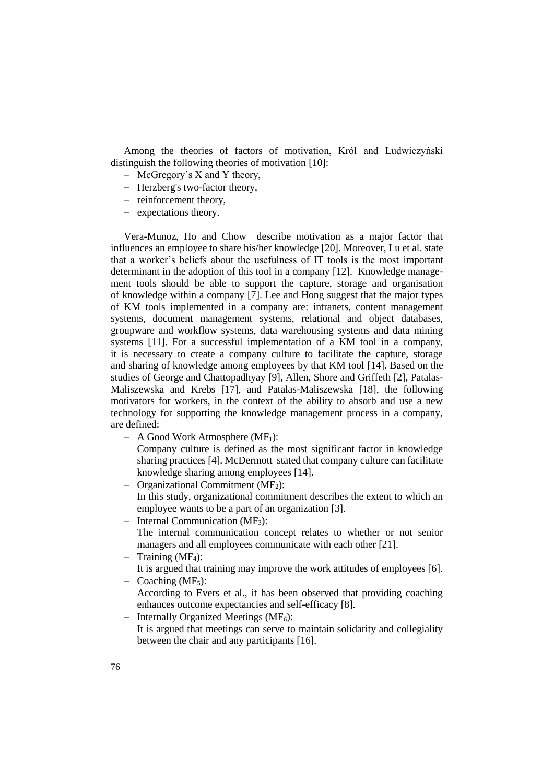Among the theories of factors of motivation, Król and Ludwiczyński distinguish the following theories of motivation [10]:

- McGregory's X and Y theory,
- Herzberg's two-factor theory,
- reinforcement theory,
- expectations theory.

Vera-Munoz, Ho and Chow describe motivation as a major factor that influences an employee to share his/her knowledge [20]. Moreover, Lu et al. state that a worker's beliefs about the usefulness of IT tools is the most important determinant in the adoption of this tool in a company [12]. Knowledge management tools should be able to support the capture, storage and organisation of knowledge within a company [7]. Lee and Hong suggest that the major types of KM tools implemented in a company are: intranets, content management systems, document management systems, relational and object databases, groupware and workflow systems, data warehousing systems and data mining systems [11]. For a successful implementation of a KM tool in a company, it is necessary to create a company culture to facilitate the capture, storage and sharing of knowledge among employees by that KM tool [14]. Based on the studies of George and Chattopadhyay [9], Allen, Shore and Griffeth [2], Patalas-Maliszewska and Krebs [17], and Patalas-Maliszewska [18], the following motivators for workers, in the context of the ability to absorb and use a new technology for supporting the knowledge management process in a company, are defined:

- $A$  Good Work Atmosphere (MF<sub>1</sub>): Company culture is defined as the most significant factor in knowledge sharing practices [4]. McDermott stated that company culture can facilitate knowledge sharing among employees [14].
- $-$  Organizational Commitment (MF<sub>2</sub>): In this study, organizational commitment describes the extent to which an employee wants to be a part of an organization [3].
- Internal Communication  $(MF_3)$ :
- The internal communication concept relates to whether or not senior managers and all employees communicate with each other [21].
- $-$  Training (MF<sub>4</sub>): It is argued that training may improve the work attitudes of employees [6].
- $-$  Coaching (MF<sub>5</sub>): According to Evers et al., it has been observed that providing coaching enhances outcome expectancies and self-efficacy [8].
- Internally Organized Meetings ( $MF<sub>6</sub>$ ): It is argued that meetings can serve to maintain solidarity and collegiality between the chair and any participants [16].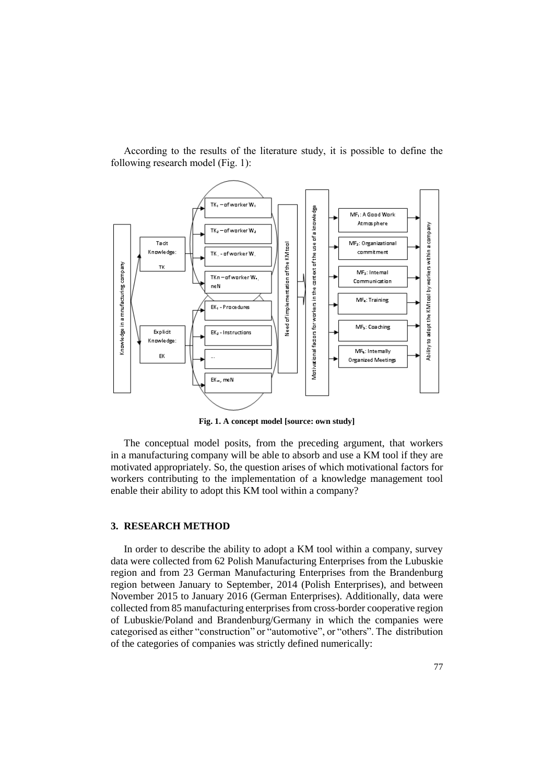

According to the results of the literature study, it is possible to define the following research model (Fig. 1):

**Fig. 1. A concept model [source: own study]**

The conceptual model posits, from the preceding argument, that workers in a manufacturing company will be able to absorb and use a KM tool if they are motivated appropriately. So, the question arises of which motivational factors for workers contributing to the implementation of a knowledge management tool enable their ability to adopt this KM tool within a company?

## **3. RESEARCH METHOD**

In order to describe the ability to adopt a KM tool within a company, survey data were collected from 62 Polish Manufacturing Enterprises from the Lubuskie region and from 23 German Manufacturing Enterprises from the Brandenburg region between January to September, 2014 (Polish Enterprises), and between November 2015 to January 2016 (German Enterprises). Additionally, data were collected from 85 manufacturing enterprises from cross-border cooperative region of Lubuskie/Poland and Brandenburg/Germany in which the companies were categorised as either "construction" or "automotive", or "others". The distribution of the categories of companies was strictly defined numerically: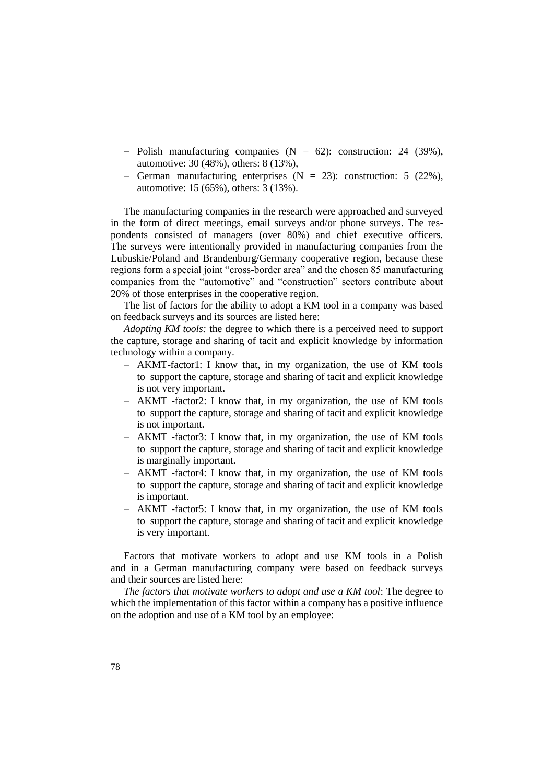- Polish manufacturing companies  $(N = 62)$ : construction: 24 (39%), automotive: 30 (48%), others: 8 (13%),
- German manufacturing enterprises  $(N = 23)$ : construction: 5 (22%), automotive: 15 (65%), others: 3 (13%).

The manufacturing companies in the research were approached and surveyed in the form of direct meetings, email surveys and/or phone surveys. The respondents consisted of managers (over 80%) and chief executive officers. The surveys were intentionally provided in manufacturing companies from the Lubuskie/Poland and Brandenburg/Germany cooperative region, because these regions form a special joint "cross-border area" and the chosen 85 manufacturing companies from the "automotive" and "construction" sectors contribute about 20% of those enterprises in the cooperative region.

The list of factors for the ability to adopt a KM tool in a company was based on feedback surveys and its sources are listed here:

*Adopting KM tools:* the degree to which there is a perceived need to support the capture, storage and sharing of tacit and explicit knowledge by information technology within a company.

- AKMT-factor1: I know that, in my organization, the use of KM tools to support the capture, storage and sharing of tacit and explicit knowledge is not very important.
- AKMT -factor2: I know that, in my organization, the use of KM tools to support the capture, storage and sharing of tacit and explicit knowledge is not important.
- AKMT -factor3: I know that, in my organization, the use of KM tools to support the capture, storage and sharing of tacit and explicit knowledge is marginally important.
- AKMT -factor4: I know that, in my organization, the use of KM tools to support the capture, storage and sharing of tacit and explicit knowledge is important.
- AKMT -factor5: I know that, in my organization, the use of KM tools to support the capture, storage and sharing of tacit and explicit knowledge is very important.

Factors that motivate workers to adopt and use KM tools in a Polish and in a German manufacturing company were based on feedback surveys and their sources are listed here:

*The factors that motivate workers to adopt and use a KM tool*: The degree to which the implementation of this factor within a company has a positive influence on the adoption and use of a KM tool by an employee: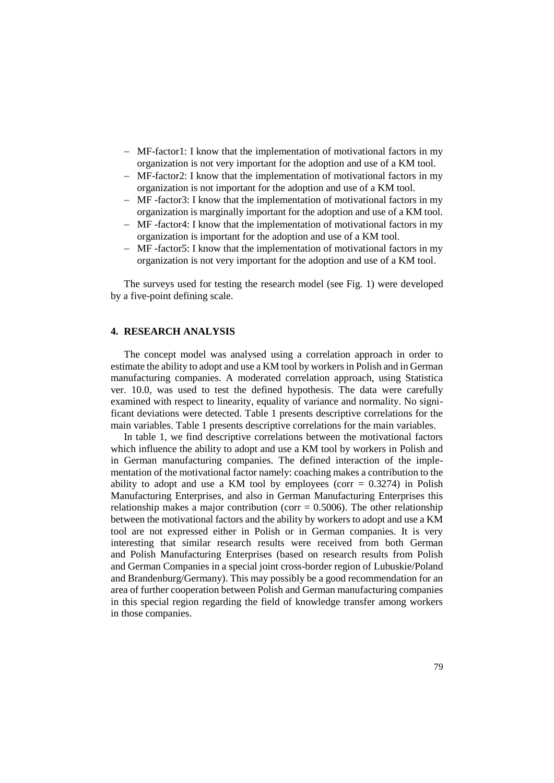- MF-factor1: I know that the implementation of motivational factors in my organization is not very important for the adoption and use of a KM tool.
- MF-factor2: I know that the implementation of motivational factors in my organization is not important for the adoption and use of a KM tool.
- MF -factor3: I know that the implementation of motivational factors in my organization is marginally important for the adoption and use of a KM tool.
- MF -factor4: I know that the implementation of motivational factors in my organization is important for the adoption and use of a KM tool.
- MF -factor5: I know that the implementation of motivational factors in my organization is not very important for the adoption and use of a KM tool.

The surveys used for testing the research model (see Fig. 1) were developed by a five-point defining scale.

## **4. RESEARCH ANALYSIS**

The concept model was analysed using a correlation approach in order to estimate the ability to adopt and use a KM tool by workers in Polish and in German manufacturing companies. A moderated correlation approach, using Statistica ver. 10.0, was used to test the defined hypothesis. The data were carefully examined with respect to linearity, equality of variance and normality. No significant deviations were detected. Table 1 presents descriptive correlations for the main variables. Table 1 presents descriptive correlations for the main variables.

In table 1, we find descriptive correlations between the motivational factors which influence the ability to adopt and use a KM tool by workers in Polish and in German manufacturing companies. The defined interaction of the implementation of the motivational factor namely: coaching makes a contribution to the ability to adopt and use a KM tool by employees (corr  $= 0.3274$ ) in Polish Manufacturing Enterprises, and also in German Manufacturing Enterprises this relationship makes a major contribution (corr =  $0.5006$ ). The other relationship between the motivational factors and the ability by workers to adopt and use a KM tool are not expressed either in Polish or in German companies. It is very interesting that similar research results were received from both German and Polish Manufacturing Enterprises (based on research results from Polish and German Companies in a special joint cross-border region of Lubuskie/Poland and Brandenburg/Germany). This may possibly be a good recommendation for an area of further cooperation between Polish and German manufacturing companies in this special region regarding the field of knowledge transfer among workers in those companies.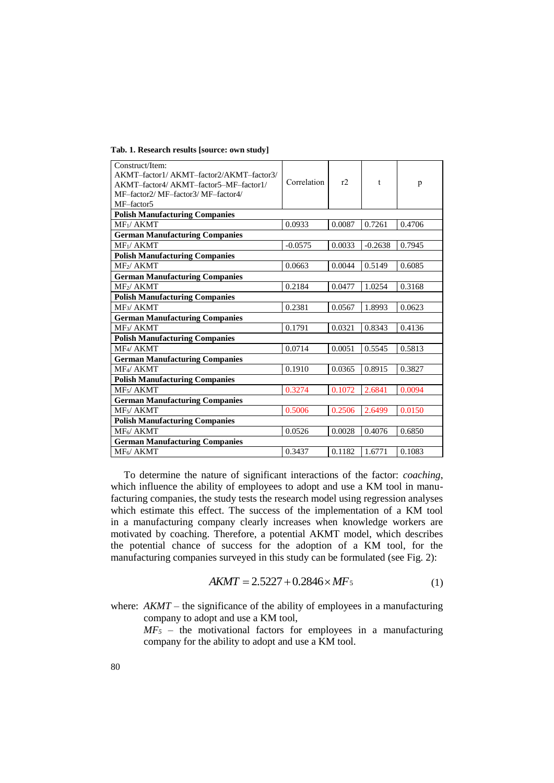|  | Tab. 1. Research results [source: own study] |  |  |
|--|----------------------------------------------|--|--|
|  |                                              |  |  |

| Construct/Item:<br>AKMT-factor1/AKMT-factor2/AKMT-factor3/<br>AKMT-factor4/AKMT-factor5-MF-factor1/<br>MF-factor2/ MF-factor3/ MF-factor4/<br>MF-factor5 | Correlation | r      | t         | p      |  |  |  |  |  |
|----------------------------------------------------------------------------------------------------------------------------------------------------------|-------------|--------|-----------|--------|--|--|--|--|--|
| <b>Polish Manufacturing Companies</b>                                                                                                                    |             |        |           |        |  |  |  |  |  |
| $MF_1/AKMT$                                                                                                                                              | 0.0933      | 0.0087 | 0.7261    | 0.4706 |  |  |  |  |  |
| <b>German Manufacturing Companies</b>                                                                                                                    |             |        |           |        |  |  |  |  |  |
| MF <sub>1</sub> /AKMT                                                                                                                                    | $-0.0575$   | 0.0033 | $-0.2638$ | 0.7945 |  |  |  |  |  |
| <b>Polish Manufacturing Companies</b>                                                                                                                    |             |        |           |        |  |  |  |  |  |
| MF <sub>2</sub> / AKMT                                                                                                                                   | 0.0663      | 0.0044 | 0.5149    | 0.6085 |  |  |  |  |  |
| <b>German Manufacturing Companies</b>                                                                                                                    |             |        |           |        |  |  |  |  |  |
| MF <sub>2</sub> /AKMT                                                                                                                                    | 0.2184      | 0.0477 | 1.0254    | 0.3168 |  |  |  |  |  |
| <b>Polish Manufacturing Companies</b>                                                                                                                    |             |        |           |        |  |  |  |  |  |
| MF <sub>3</sub> / AKMT                                                                                                                                   | 0.2381      | 0.0567 | 1.8993    | 0.0623 |  |  |  |  |  |
| <b>German Manufacturing Companies</b>                                                                                                                    |             |        |           |        |  |  |  |  |  |
| MF <sub>3</sub> / AKMT                                                                                                                                   | 0.1791      | 0.0321 | 0.8343    | 0.4136 |  |  |  |  |  |
| <b>Polish Manufacturing Companies</b>                                                                                                                    |             |        |           |        |  |  |  |  |  |
| MF4/ AKMT                                                                                                                                                | 0.0714      | 0.0051 | 0.5545    | 0.5813 |  |  |  |  |  |
| <b>German Manufacturing Companies</b>                                                                                                                    |             |        |           |        |  |  |  |  |  |
| MF <sub>4</sub> / AKMT                                                                                                                                   | 0.1910      | 0.0365 | 0.8915    | 0.3827 |  |  |  |  |  |
| <b>Polish Manufacturing Companies</b>                                                                                                                    |             |        |           |        |  |  |  |  |  |
| MF <sub>5</sub> /AKMT                                                                                                                                    | 0.3274      | 0.1072 | 2.6841    | 0.0094 |  |  |  |  |  |
| <b>German Manufacturing Companies</b>                                                                                                                    |             |        |           |        |  |  |  |  |  |
| MF <sub>5</sub> / AKMT                                                                                                                                   | 0.5006      | 0.2506 | 2.6499    | 0.0150 |  |  |  |  |  |
| <b>Polish Manufacturing Companies</b>                                                                                                                    |             |        |           |        |  |  |  |  |  |
| MF6/AKMT                                                                                                                                                 | 0.0526      | 0.0028 | 0.4076    | 0.6850 |  |  |  |  |  |
| <b>German Manufacturing Companies</b>                                                                                                                    |             |        |           |        |  |  |  |  |  |
| MF <sub>6</sub> /AKMT                                                                                                                                    | 0.3437      | 0.1182 | 1.6771    | 0.1083 |  |  |  |  |  |

To determine the nature of significant interactions of the factor: *coaching*, which influence the ability of employees to adopt and use a KM tool in manufacturing companies, the study tests the research model using regression analyses which estimate this effect. The success of the implementation of a KM tool in a manufacturing company clearly increases when knowledge workers are motivated by coaching. Therefore, a potential AKMT model, which describes the potential chance of success for the adoption of a KM tool, for the manufacturing companies surveyed in this study can be formulated (see Fig. 2):

$$
AKMT = 2.5227 + 0.2846 \times MF_5 \tag{1}
$$

where:  $AKMT$  – the significance of the ability of employees in a manufacturing company to adopt and use a KM tool,

 $MF<sub>5</sub>$  – the motivational factors for employees in a manufacturing company for the ability to adopt and use a KM tool.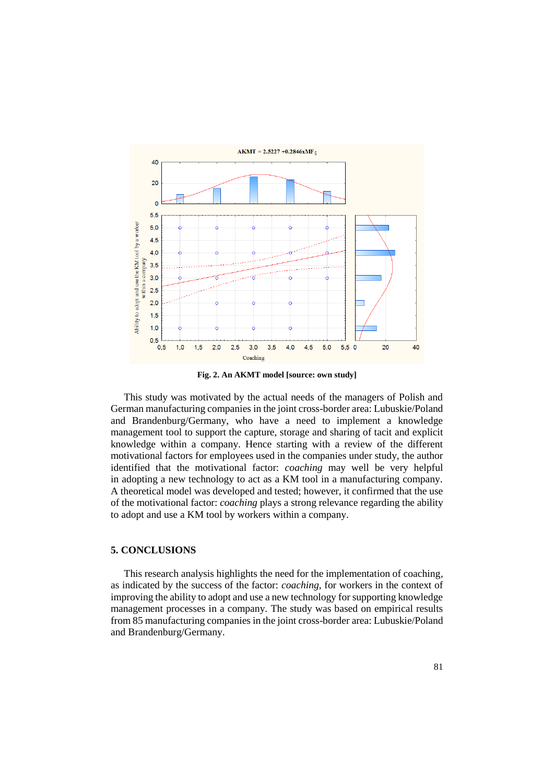

**Fig. 2. An AKMT model [source: own study]**

This study was motivated by the actual needs of the managers of Polish and German manufacturing companies in the joint cross-border area: Lubuskie/Poland and Brandenburg/Germany, who have a need to implement a knowledge management tool to support the capture, storage and sharing of tacit and explicit knowledge within a company. Hence starting with a review of the different motivational factors for employees used in the companies under study, the author identified that the motivational factor: *coaching* may well be very helpful in adopting a new technology to act as a KM tool in a manufacturing company. A theoretical model was developed and tested; however, it confirmed that the use of the motivational factor: *coaching* plays a strong relevance regarding the ability to adopt and use a KM tool by workers within a company.

#### **5. CONCLUSIONS**

This research analysis highlights the need for the implementation of coaching*,*  as indicated by the success of the factor: *coaching*, for workers in the context of improving the ability to adopt and use a new technology for supporting knowledge management processes in a company. The study was based on empirical results from 85 manufacturing companies in the joint cross-border area: Lubuskie/Poland and Brandenburg/Germany.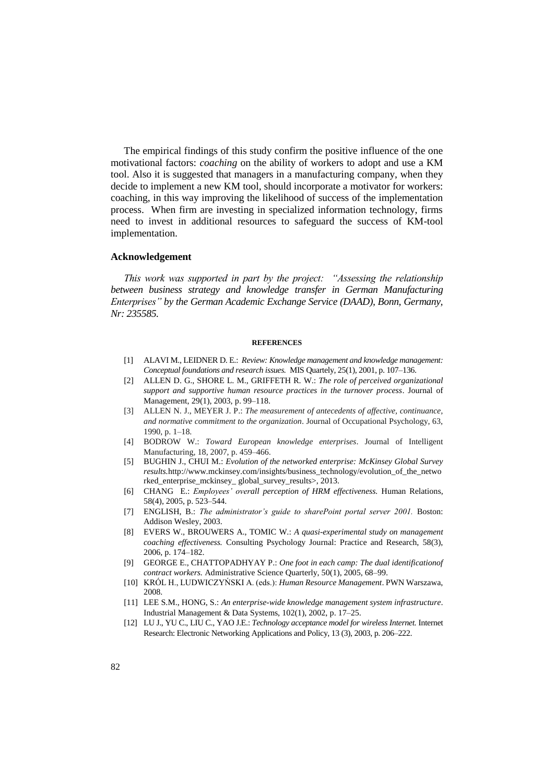The empirical findings of this study confirm the positive influence of the one motivational factors: *coaching* on the ability of workers to adopt and use a KM tool. Also it is suggested that managers in a manufacturing company, when they decide to implement a new KM tool, should incorporate a motivator for workers: coaching, in this way improving the likelihood of success of the implementation process. When firm are investing in specialized information technology, firms need to invest in additional resources to safeguard the success of KM-tool implementation.

#### **Acknowledgement**

*This work was supported in part by the project: "Assessing the relationship between business strategy and knowledge transfer in German Manufacturing Enterprises" by the German Academic Exchange Service (DAAD), Bonn, Germany, Nr: 235585.*

#### **REFERENCES**

- [1] ALAVI M., LEIDNER D. E.: *Review: Knowledge management and knowledge management: Conceptual foundations and research issues.* MIS Quartely, 25(1), 2001, p. 107–136.
- [2] ALLEN D. G., SHORE L. M., GRIFFETH R. W.: *The role of perceived organizational support and supportive human resource practices in the turnover process*. Journal of Management, 29(1), 2003, p. 99–118.
- [3] ALLEN N. J., MEYER J. P.: *The measurement of antecedents of affective, continuance, and normative commitment to the organization*. Journal of Occupational Psychology, 63, 1990, p. 1–18.
- [4] BODROW W.: *Toward European knowledge enterprises*. Journal of Intelligent Manufacturing*,* 18, 2007, p. 459–466.
- [5] BUGHIN J., CHUI M.: *Evolution of the networked enterprise: McKinsey Global Survey results.*http://www.mckinsey.com/insights/business\_technology/evolution\_of\_the\_netwo rked\_enterprise\_mckinsey\_ global\_survey\_results>, 2013.
- [6] CHANG E.: *Employees' overall perception of HRM effectiveness.* Human Relations, 58(4), 2005, p. 523–544.
- [7] ENGLISH, B.: *The administrator's guide to sharePoint portal server 2001*. Boston: Addison Wesley, 2003.
- [8] EVERS W., BROUWERS A., TOMIC W.: *A quasi-experimental study on management coaching effectiveness.* Consulting Psychology Journal: Practice and Research, 58(3), 2006, p. 174–182.
- [9] GEORGE E., CHATTOPADHYAY P.: *One foot in each camp: The dual identificationof contract workers.* Administrative Science Quarterly, 50(1), 2005, 68–99.
- [10] KRÓL H., LUDWICZYŃSKI A. (eds.): *Human Resource Management*. PWN Warszawa, 2008.
- [11] LEE S.M., HONG, S.: *An enterprise-wide knowledge management system infrastructure*. Industrial Management & Data Systems, 102(1), 2002, p. 17–25.
- [12] LU J., YU C., LIU C., YAO J.E.: *Technology acceptance model for wireless Internet.* Internet Research: Electronic Networking Applications and Policy, 13 (3), 2003, p. 206–222.